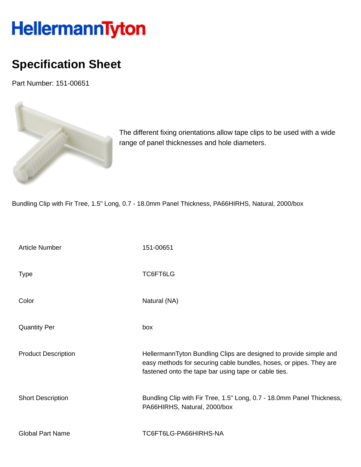## HellermannTyton

## **Specification Sheet**

Part Number: 151-00651



The different fixing orientations allow tape clips to be used with a wide range of panel thicknesses and hole diameters.

Bundling Clip with Fir Tree, 1.5" Long, 0.7 - 18.0mm Panel Thickness, PA66HIRHS, Natural, 2000/box

| <b>Article Number</b>      | 151-00651                                                                                                                                                                                       |
|----------------------------|-------------------------------------------------------------------------------------------------------------------------------------------------------------------------------------------------|
| <b>Type</b>                | TC6FT6LG                                                                                                                                                                                        |
| Color                      | Natural (NA)                                                                                                                                                                                    |
| <b>Quantity Per</b>        | box                                                                                                                                                                                             |
| <b>Product Description</b> | HellermannTyton Bundling Clips are designed to provide simple and<br>easy methods for securing cable bundles, hoses, or pipes. They are<br>fastened onto the tape bar using tape or cable ties. |
| <b>Short Description</b>   | Bundling Clip with Fir Tree, 1.5" Long, 0.7 - 18.0mm Panel Thickness,<br>PA66HIRHS, Natural, 2000/box                                                                                           |
| <b>Global Part Name</b>    | TC6FT6LG-PA66HIRHS-NA                                                                                                                                                                           |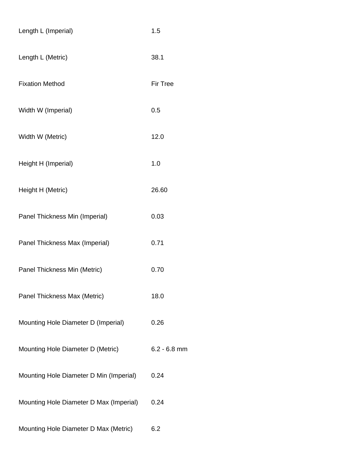| Length L (Imperial)                     | 1.5             |
|-----------------------------------------|-----------------|
| Length L (Metric)                       | 38.1            |
| <b>Fixation Method</b>                  | <b>Fir Tree</b> |
| Width W (Imperial)                      | 0.5             |
| Width W (Metric)                        | 12.0            |
| Height H (Imperial)                     | 1.0             |
| Height H (Metric)                       | 26.60           |
| Panel Thickness Min (Imperial)          | 0.03            |
| Panel Thickness Max (Imperial)          | 0.71            |
| Panel Thickness Min (Metric)            | 0.70            |
| Panel Thickness Max (Metric)            | 18.0            |
| Mounting Hole Diameter D (Imperial)     | 0.26            |
| Mounting Hole Diameter D (Metric)       | $6.2 - 6.8$ mm  |
| Mounting Hole Diameter D Min (Imperial) | 0.24            |
| Mounting Hole Diameter D Max (Imperial) | 0.24            |
| Mounting Hole Diameter D Max (Metric)   | 6.2             |